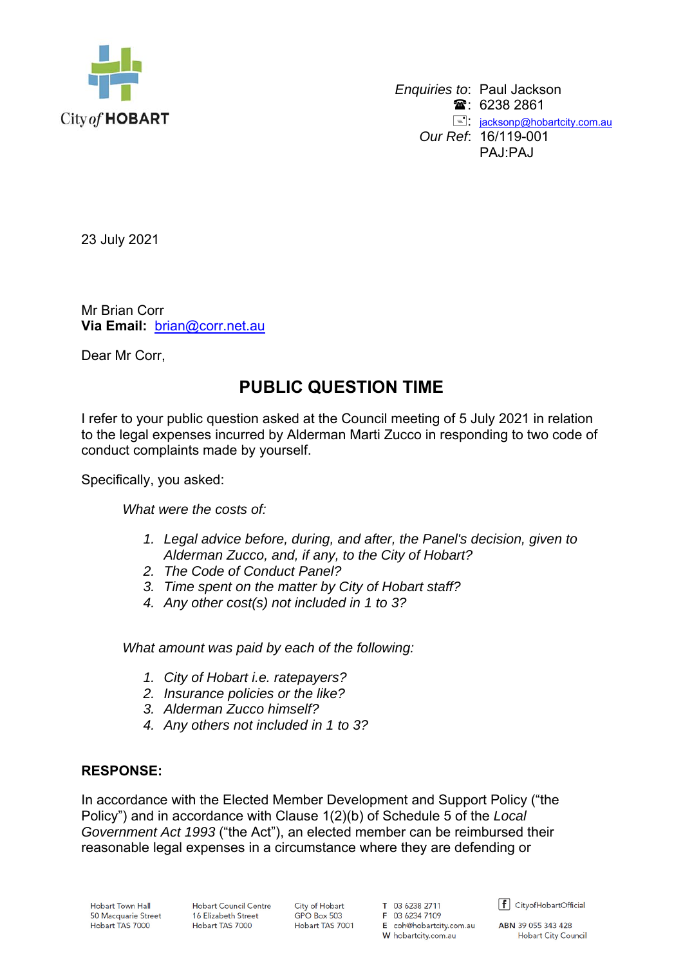

 *Enquiries to*: Paul Jackson  $\mathbf{\hat{a}}$ : 6238 2861 **E**: jacksonp@hobartcity.com.au *Our Ref*: 16/119-001 PAJ:PAJ

23 July 2021

Mr Brian Corr **Via Email:** brian@corr.net.au

Dear Mr Corr,

## **PUBLIC QUESTION TIME**

I refer to your public question asked at the Council meeting of 5 July 2021 in relation to the legal expenses incurred by Alderman Marti Zucco in responding to two code of conduct complaints made by yourself.

Specifically, you asked:

*What were the costs of:* 

- *1. Legal advice before, during, and after, the Panel's decision, given to Alderman Zucco, and, if any, to the City of Hobart?*
- *2. The Code of Conduct Panel?*
- *3. Time spent on the matter by City of Hobart staff?*
- *4. Any other cost(s) not included in 1 to 3?*

*What amount was paid by each of the following:* 

- *1. City of Hobart i.e. ratepayers?*
- *2. Insurance policies or the like?*
- *3. Alderman Zucco himself?*
- *4. Any others not included in 1 to 3?*

## **RESPONSE:**

In accordance with the Elected Member Development and Support Policy ("the Policy") and in accordance with Clause 1(2)(b) of Schedule 5 of the *Local Government Act 1993* ("the Act"), an elected member can be reimbursed their reasonable legal expenses in a circumstance where they are defending or

**Hobart Town Hall** 50 Macquarie Street Hobart TAS 7000

**Hobart Council Centre** 16 Elizabeth Street Hobart TAS 7000

City of Hobart GPO Box 503 Hobart TAS 7001

T 03 6238 2711 F 03 6234 7109 E coh@hobartcity.com.au W hobartcity.com.au

 $\left| \mathbf{f} \right|$  CityofHobartOfficial